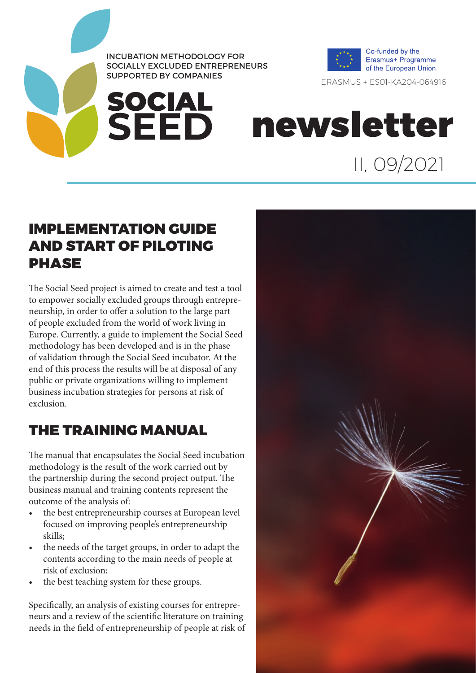

**SOCIAL<br>SEED** 



ERASMUS + ES01-KA204-064916

II, 09/2021

newsletter

### IMPLEMENTATION GUIDE AND START OF PILOTING **PHASE**

The Social Seed project is aimed to create and test a tool to empower socially excluded groups through entrepreneurship, in order to offer a solution to the large part of people excluded from the world of work living in Europe. Currently, a guide to implement the Social Seed methodology has been developed and is in the phase of validation through the Social Seed incubator. At the end of this process the results will be at disposal of any public or private organizations willing to implement business incubation strategies for persons at risk of exclusion.

### THE TRAINING MANUAL

The manual that encapsulates the Social Seed incubation methodology is the result of the work carried out by the partnership during the second project output. The business manual and training contents represent the outcome of the analysis of:

- the best entrepreneurship courses at European level focused on improving people's entrepreneurship skills;
- the needs of the target groups, in order to adapt the contents according to the main needs of people at risk of exclusion;
- the best teaching system for these groups.

Specifically, an analysis of existing courses for entrepreneurs and a review of the scientific literature on training needs in the field of entrepreneurship of people at risk of